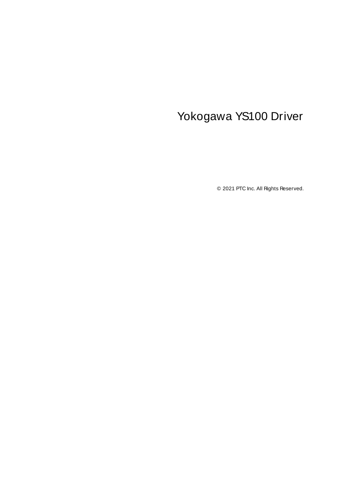# <span id="page-0-0"></span>Yokogawa YS100 Driver

© 2021 PTC Inc. All Rights Reserved.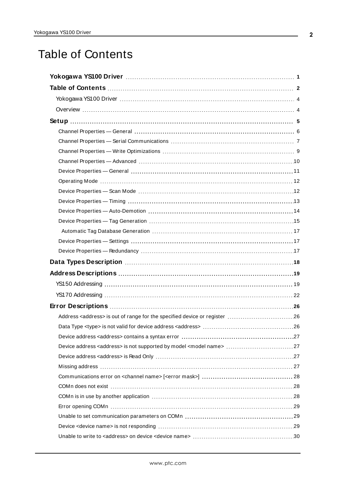# <span id="page-1-0"></span>Table of Contents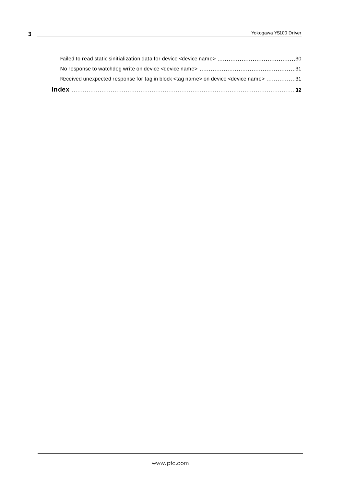| Received unexpected response for tag in block <tag name=""> on device <device name=""> 31</device></tag> |  |
|----------------------------------------------------------------------------------------------------------|--|
|                                                                                                          |  |
|                                                                                                          |  |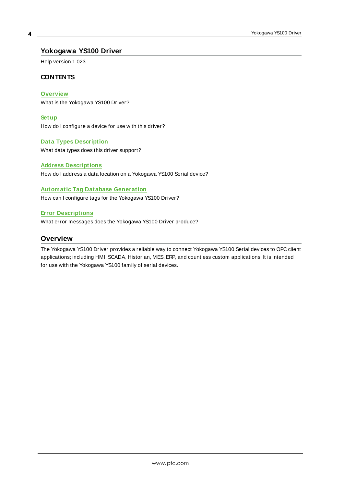#### <span id="page-3-0"></span>**Yokogawa YS100 Driver**

Help version 1.023

#### **CONTENTS**

**[Overview](#page-3-1)**

What is the Yokogawa YS100 Driver?

**[Setup](#page-4-0)**

How do I configure a device for use with this driver?

#### **Data Types [Description](#page-17-0)**

What data types does this driver support?

#### **Address [Descriptions](#page-18-0)**

How do I address a data location on a Yokogawa YS100 Serial device?

#### **Automatic Tag Database [Generation](#page-16-0)**

How can I configure tags for the Yokogawa YS100 Driver?

#### **Error [Descriptions](#page-25-0)**

<span id="page-3-1"></span>What error messages does the Yokogawa YS100 Driver produce?

#### **Overview**

The Yokogawa YS100 Driver provides a reliable way to connect Yokogawa YS100 Serial devices to OPC client applications; including HMI, SCADA, Historian, MES, ERP, and countless custom applications. It is intended for use with the Yokogawa YS100 family of serial devices.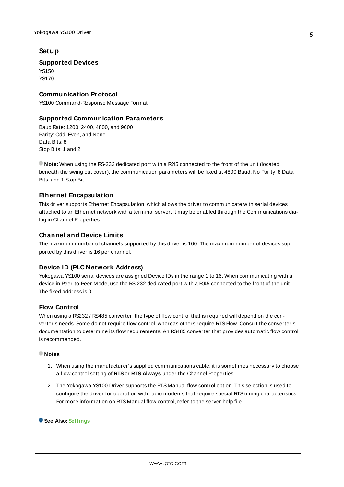#### <span id="page-4-0"></span>**Setup**

#### **Supported Devices**

YS150 YS170

#### **Communication Protocol**

YS100 Command-Response Message Format

#### **Supported Communication Parameters**

Baud Rate: 1200, 2400, 4800, and 9600 Parity: Odd, Even, and None Data Bits: 8 Stop Bits: 1 and 2

**Note:** When using the RS-232 dedicated port with a RJ45 connected to the front of the unit (located beneath the swing out cover), the communication parameters will be fixed at 4800 Baud, No Parity, 8 Data Bits, and 1 Stop Bit.

#### <span id="page-4-2"></span>**Ethernet Encapsulation**

This driver supports Ethernet Encapsulation, which allows the driver to communicate with serial devices attached to an Ethernet network with a terminal server. It may be enabled through the Communications dialog in Channel Properties.

#### **Channel and Device Limits**

The maximum number of channels supported by this driver is 100. The maximum number of devices supported by this driver is 16 per channel.

#### <span id="page-4-1"></span>**Device ID (PLC Network Address)**

Yokogawa YS100 serial devices are assigned Device IDs in the range 1 to 16. When communicating with a device in Peer-to-Peer Mode, use the RS-232 dedicated port with a R45 connected to the front of the unit. The fixed address is 0.

#### **Flow Control**

When using a RS232 / RS485 converter, the type of flow control that is required will depend on the converter's needs. Some do not require flow control, whereas others require RTS Flow. Consult the converter's documentation to determine its flow requirements. An RS485 converter that provides automatic flow control is recommended.

#### **Notes**:

- 1. When using the manufacturer's supplied communications cable, it is sometimes necessary to choose a flow control setting of **RTS**or **RTS Always** under the Channel Properties.
- 2. The Yokogawa YS100 Driver supports the RTS Manual flow control option. This selection is used to configure the driver for operation with radio modems that require special RTStiming characteristics. For more information on RTS Manual flow control, refer to the server help file.

**See Also: [Settings](#page-16-1)**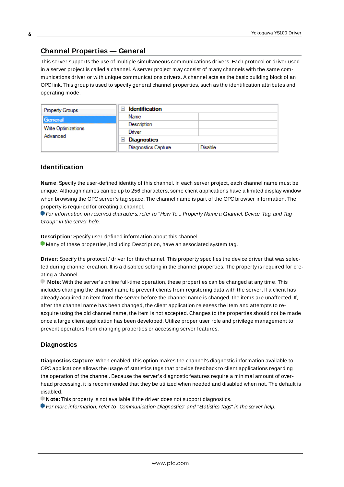#### <span id="page-5-0"></span>**Channel Properties — General**

This server supports the use of multiple simultaneous communications drivers. Each protocol or driver used in a server project is called a channel. A server project may consist of many channels with the same communications driver or with unique communications drivers. A channel acts as the basic building block of an OPC link. This group is used to specify general channel properties, such as the identification attributes and operating mode.

| Property Groups                 | <b>Identification</b><br>$-$ |         |
|---------------------------------|------------------------------|---------|
| General                         | Name                         |         |
|                                 | Description                  |         |
| Write Optimizations<br>Advanced | Driver                       |         |
|                                 | Diagnostics<br>$\equiv$      |         |
|                                 | <b>Diagnostics Capture</b>   | Disable |

#### **Identification**

**Name**: Specify the user-defined identity of this channel. In each server project, each channel name must be unique. Although names can be up to 256 characters, some client applications have a limited display window when browsing the OPC server's tag space. The channel name is part of the OPC browser information. The property is required for creating a channel.

For information on reserved characters, refer to "How To... Properly Name a Channel, Device, Tag, and Tag Group" in the server help.

**Description**: Specify user-defined information about this channel.

Many of these properties, including Description, have an associated system tag.

**Driver**: Specify the protocol / driver for this channel. This property specifies the device driver that was selected during channel creation. It is a disabled setting in the channel properties. The property is required for creating a channel.

**Note**: With the server's online full-time operation, these properties can be changed at any time. This includes changing the channel name to prevent clients from registering data with the server. If a client has already acquired an item from the server before the channel name is changed, the items are unaffected. If, after the channel name has been changed, the client application releases the item and attempts to reacquire using the old channel name, the item is not accepted. Changes to the properties should not be made once a large client application has been developed. Utilize proper user role and privilege management to prevent operators from changing properties or accessing server features.

#### **Diagnostics**

**Diagnostics Capture**: When enabled, this option makes the channel's diagnostic information available to OPC applications allows the usage of statistics tags that provide feedback to client applications regarding the operation of the channel. Because the server's diagnostic features require a minimal amount of overhead processing, it is recommended that they be utilized when needed and disabled when not. The default is disabled.

**Note:** This property is not available if the driver does not support diagnostics.

**• For more information, refer to "Communication Diagnostics" and "Statistics Tags" in the server help.**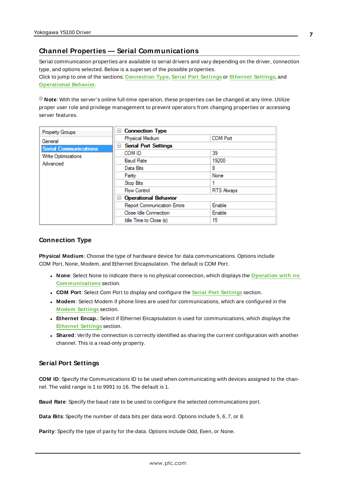#### <span id="page-6-0"></span>**Channel Properties — Serial Communications**

Serial communication properties are available to serial drivers and vary depending on the driver, connection type, and options selected. Below is a superset of the possible properties. Click to jump to one of the sections: **[Connection](#page-6-1) Type**, **Serial Port [Settings](#page-6-2)** or **[Ethernet](#page-7-0) Settings**, and **[Operational](#page-7-1) Behavior**.

**Note**: With the server's online full-time operation, these properties can be changed at any time. Utilize proper user role and privilege management to prevent operators from changing properties or accessing server features.

| Property Groups              | <b>Connection Type</b><br>$=$      |                   |
|------------------------------|------------------------------------|-------------------|
| General                      | Physical Medium                    | <b>COM Port</b>   |
| <b>Serial Communications</b> | <b>Serial Port Settings</b><br>$=$ |                   |
| Write Optimizations          | COM ID                             | 39                |
| Advanced                     | <b>Baud Rate</b>                   | 19200             |
|                              | Data Bits                          | 8                 |
|                              | Parity                             | None              |
|                              | Stop Bits                          |                   |
|                              | <b>Flow Control</b>                | <b>RTS Always</b> |
|                              | <b>Operational Behavior</b><br>н   |                   |
|                              | <b>Report Communication Errors</b> | Enable            |
|                              | Close Idle Connection              | Enable            |
|                              | Idle Time to Close (s)             | 15                |

#### <span id="page-6-1"></span>**Connection Type**

**Physical Medium**: Choose the type of hardware device for data communications. Options include COM Port, None, Modem, and Ethernet Encapsulation. The default is COM Port.

- <sup>l</sup> **None**: Select None to indicate there is no physical connection, which displays the **[Operation](#page-8-1) with no [Communications](#page-8-1)** section.
- <sup>l</sup> **COM Port**: Select Com Port to display and configure the **Serial Port [Settings](#page-6-2)** section.
- **Modem**: Select Modem if phone lines are used for communications, which are configured in the **Modem [Settings](#page-8-2)** section.
- **Ethernet Encap.**: Select if Ethernet Encapsulation is used for communications, which displays the **[Ethernet](#page-7-0) Settings** section.
- **Shared**: Verify the connection is correctly identified as sharing the current configuration with another channel. This is a read-only property.

#### <span id="page-6-2"></span>**Serial Port Settings**

**COM ID**: Specify the Communications ID to be used when communicating with devices assigned to the channel. The valid range is 1 to 9991 to 16. The default is 1.

**Baud Rate**: Specify the baud rate to be used to configure the selected communications port.

**Data Bits**: Specify the number of data bits per data word. Options include 5, 6, 7, or 8.

**Parity**: Specify the type of parity for the data. Options include Odd, Even, or None.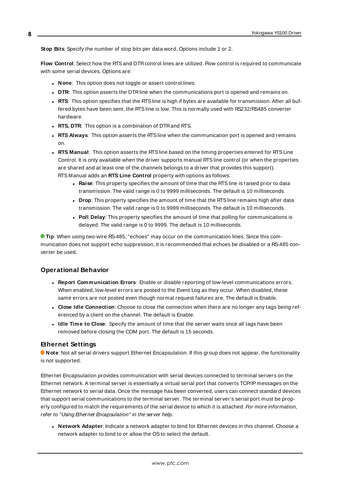**Stop Bits**: Specify the number of stop bits per data word. Options include 1 or 2.

**Flow Control**: Select how the RTSand DTRcontrol lines are utilized. Flow control is required to communicate with some serial devices. Options are:

- **None:** This option does not toggle or assert control lines.
- **DTR:** This option asserts the DTR line when the communications port is opened and remains on.
- **RTS:** This option specifies that the RTS line is high if bytes are available for transmission. After all buffered bytes have been sent, the RTSline is low. This is normally used with RS232/RS485 converter hardware.
- **RTS, DTR:** This option is a combination of DTR and RTS.
- <sup>l</sup> **RTS Always**: This option asserts the RTSline when the communication port is opened and remains on.
- <sup>l</sup> **RTS Manual**: This option asserts the RTSline based on the timing properties entered for RTSLine Control. It is only available when the driver supports manual RTSline control (or when the properties are shared and at least one of the channels belongs to a driver that provides this support). RTS Manual adds an **RTS Line Control** property with options as follows:
	- **Raise:** This property specifies the amount of time that the RTS line is raised prior to data transmission. The valid range is 0 to 9999 milliseconds. The default is 10 milliseconds.
	- **Drop**: This property specifies the amount of time that the RTS line remains high after data transmission. The valid range is 0 to 9999 milliseconds. The default is 10 milliseconds.
	- **Poll Delay**: This property specifies the amount of time that polling for communications is delayed. The valid range is 0 to 9999. The default is 10 milliseconds.

**Tip**: When using two-wire RS-485, "echoes" may occur on the communication lines. Since this communication does not support echo suppression, it is recommended that echoes be disabled or a RS-485 converter be used.

#### <span id="page-7-1"></span>**Operational Behavior**

- <sup>l</sup> **Report Communication Errors**: Enable or disable reporting of low-level communications errors. When enabled, low-level errors are posted to the Event Log as they occur. When disabled, these same errors are not posted even though normal request failures are. The default is Enable.
- <sup>l</sup> **Close Idle Connection**: Choose to close the connection when there are no longer any tags being referenced by a client on the channel. The default is Enable.
- <sup>l</sup> **Idle Time to Close**: Specify the amount of time that the server waits once all tags have been removed before closing the COM port. The default is 15 seconds.

#### <span id="page-7-0"></span>**Ethernet Settings**

**Note**: Not all serial drivers support Ethernet Encapsulation. If this group does not appear, the functionality is not supported.

Ethernet Encapsulation provides communication with serial devices connected to terminal servers on the Ethernet network. A terminal server is essentially a virtual serial port that converts TCP/IP messages on the Ethernet network to serial data. Once the message has been converted, users can connect standard devices that support serial communications to the terminal server. The terminal server's serial port must be properly configured to match the requirements of the serial device to which it is attached. For more information, refer to "Using Ethernet Encapsulation" in the server help.

**· Network Adapter**: Indicate a network adapter to bind for Ethernet devices in this channel. Choose a network adapter to bind to or allow the OSto select the default.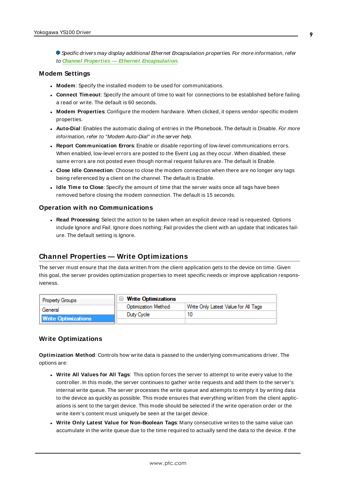Specific drivers may display additional Ethernet Encapsulation properties. For more information, refer to **Channel Properties — Ethernet Encapsulation**.

#### <span id="page-8-2"></span>**Modem Settings**

- **Modem**: Specify the installed modem to be used for communications.
- **Connect Timeout**: Specify the amount of time to wait for connections to be established before failing a read or write. The default is 60 seconds.
- <sup>l</sup> **Modem Properties**: Configure the modem hardware. When clicked, it opens vendor-specific modem properties.
- **Auto-Dial**: Enables the automatic dialing of entries in the Phonebook. The default is Disable. For more information, refer to "Modem Auto-Dial" in the server help.
- <sup>l</sup> **Report Communication Errors**: Enable or disable reporting of low-level communications errors. When enabled, low-level errors are posted to the Event Log as they occur. When disabled, these same errors are not posted even though normal request failures are. The default is Enable.
- **Close Idle Connection**: Choose to close the modem connection when there are no longer any tags being referenced by a client on the channel. The default is Enable.
- <sup>l</sup> **Idle Time to Close**: Specify the amount of time that the server waits once all tags have been removed before closing the modem connection. The default is 15 seconds.

#### <span id="page-8-1"></span>**Operation with no Communications**

**Read Processing**: Select the action to be taken when an explicit device read is requested. Options include Ignore and Fail. Ignore does nothing; Fail provides the client with an update that indicates failure. The default setting is Ignore.

#### <span id="page-8-0"></span>**Channel Properties — Write Optimizations**

The server must ensure that the data written from the client application gets to the device on time. Given this goal, the server provides optimization properties to meet specific needs or improve application responsiveness.

| <b>Property Groups</b>     | $\Box$ Write Optimizations |                                      |
|----------------------------|----------------------------|--------------------------------------|
| General                    | <b>Optimization Method</b> | Write Only Latest Value for All Tags |
| <b>Write Optimizations</b> | Duty Cycle                 |                                      |
|                            |                            |                                      |

#### **Write Optimizations**

**Optimization Method**: Controls how write data is passed to the underlying communications driver. The options are:

- <sup>l</sup> **Write All Values for All Tags**: This option forces the server to attempt to write every value to the controller. In this mode, the server continues to gather write requests and add them to the server's internal write queue. The server processes the write queue and attempts to empty it by writing data to the device as quickly as possible. This mode ensures that everything written from the client applications is sent to the target device. This mode should be selected if the write operation order or the write item's content must uniquely be seen at the target device.
- <sup>l</sup> **Write Only Latest Value for Non-Boolean Tags**: Many consecutive writes to the same value can accumulate in the write queue due to the time required to actually send the data to the device. If the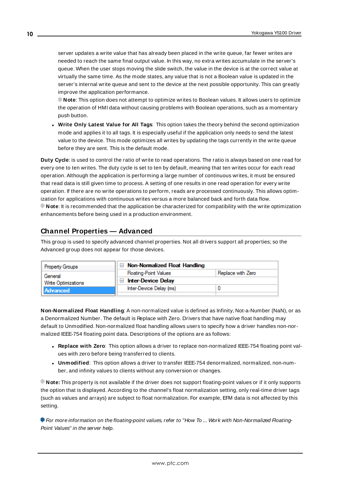server updates a write value that has already been placed in the write queue, far fewer writes are needed to reach the same final output value. In this way, no extra writes accumulate in the server's queue. When the user stops moving the slide switch, the value in the device is at the correct value at virtually the same time. As the mode states, any value that is not a Boolean value is updated in the server's internal write queue and sent to the device at the next possible opportunity. This can greatly improve the application performance.

**Note**: This option does not attempt to optimize writes to Boolean values. It allows users to optimize the operation of HMI data without causing problems with Boolean operations, such as a momentary push button.

<sup>l</sup> **Write Only Latest Value for All Tags**: This option takes the theory behind the second optimization mode and applies it to all tags. It is especially useful if the application only needs to send the latest value to the device. This mode optimizes all writes by updating the tags currently in the write queue before they are sent. This is the default mode.

**Duty Cycle**: is used to control the ratio of write to read operations. The ratio is always based on one read for every one to ten writes. The duty cycle is set to ten by default, meaning that ten writes occur for each read operation. Although the application is performing a large number of continuous writes, it must be ensured that read data is still given time to process. A setting of one results in one read operation for every write operation. If there are no write operations to perform, reads are processed continuously. This allows optimization for applications with continuous writes versus a more balanced back and forth data flow. **Note**: It is recommended that the application be characterized for compatibility with the write optimization enhancements before being used in a production environment.

## <span id="page-9-0"></span>**Channel Properties — Advanced**

This group is used to specify advanced channel properties. Not all drivers support all properties; so the Advanced group does not appear for those devices.

| Property Groups                | $\Box$ Non-Normalized Float Handling |                   |
|--------------------------------|--------------------------------------|-------------------|
| General<br>Write Optimizations | <b>Floating-Point Values</b>         | Replace with Zero |
|                                | <b>Inter-Device Delay</b>            |                   |
| Advanced                       | Inter-Device Delay (ms)              |                   |
|                                |                                      |                   |

**Non-Normalized Float Handling**: A non-normalized value is defined as Infinity, Not-a-Number (NaN), or as a Denormalized Number. The default is Replace with Zero. Drivers that have native float handling may default to Unmodified. Non-normalized float handling allows users to specify how a driver handles non-normalized IEEE-754 floating point data. Descriptions of the options are as follows:

- <sup>l</sup> **Replace with Zero**: This option allows a driver to replace non-normalized IEEE-754 floating point values with zero before being transferred to clients.
- <sup>l</sup> **Unmodified**: This option allows a driver to transfer IEEE-754 denormalized, normalized, non-number, and infinity values to clients without any conversion or changes.

**Note:** This property is not available if the driver does not support floating-point values or if it only supports the option that is displayed. According to the channel's float normalization setting, only real-time driver tags (such as values and arrays) are subject to float normalization. For example, EFM data is not affected by this setting.

For more information on the floating-point values, refer to "How To ... Work with Non-Normalized Floating-Point Values" in the server help.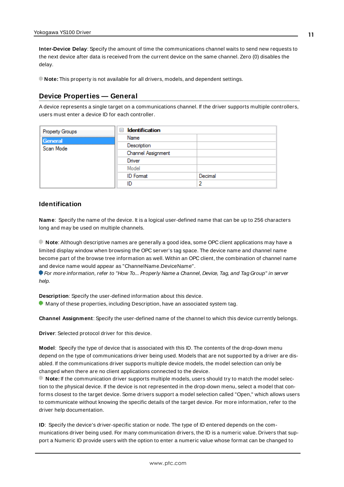**Inter-Device Delay**: Specify the amount of time the communications channel waits to send new requests to the next device after data is received from the current device on the same channel. Zero (0) disables the delay.

<span id="page-10-0"></span>**Note:** This property is not available for all drivers, models, and dependent settings.

#### **Device Properties — General**

A device represents a single target on a communications channel. If the driver supports multiple controllers, users must enter a device ID for each controller.

| Property Groups | <b>Identification</b><br>$\equiv$ |         |
|-----------------|-----------------------------------|---------|
| General         | Name                              |         |
| Scan Mode       | Description                       |         |
|                 | Channel Assignment                |         |
|                 | Driver                            |         |
|                 | Model                             |         |
|                 | <b>ID</b> Format                  | Decimal |
|                 | ID                                | 2       |

#### <span id="page-10-4"></span>**Identification**

**Name**: Specify the name of the device. It is a logical user-defined name that can be up to 256 characters long and may be used on multiple channels.

**Note**: Although descriptive names are generally a good idea, some OPC client applications may have a limited display window when browsing the OPC server's tag space. The device name and channel name become part of the browse tree information as well. Within an OPC client, the combination of channel name and device name would appear as "ChannelName.DeviceName".

For more information, refer to "How To... Properly Name a Channel, Device, Tag, and Tag Group" in server help.

**Description**: Specify the user-defined information about this device.

<span id="page-10-1"></span>**Many of these properties, including Description, have an associated system tag.** 

<span id="page-10-2"></span>**Channel Assignment**: Specify the user-defined name of the channel to which this device currently belongs.

<span id="page-10-3"></span>**Driver**: Selected protocol driver for this device.

**Model**: Specify the type of device that is associated with this ID. The contents of the drop-down menu depend on the type of communications driver being used. Models that are not supported by a driver are disabled. If the communications driver supports multiple device models, the model selection can only be changed when there are no client applications connected to the device.

**Note:** If the communication driver supports multiple models, users should try to match the model selection to the physical device. If the device is not represented in the drop-down menu, select a model that conforms closest to the target device. Some drivers support a model selection called "Open," which allows users to communicate without knowing the specific details of the target device. For more information, refer to the driver help documentation.

**ID**: Specify the device's driver-specific station or node. The type of ID entered depends on the communications driver being used. For many communication drivers, the ID is a numeric value. Drivers that support a Numeric ID provide users with the option to enter a numeric value whose format can be changed to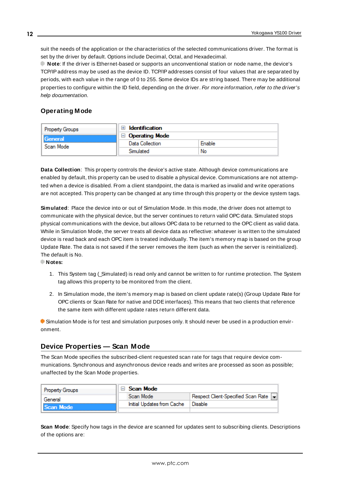<span id="page-11-3"></span>suit the needs of the application or the characteristics of the selected communications driver. The format is set by the driver by default. Options include Decimal, Octal, and Hexadecimal.

**Note**: If the driver is Ethernet-based or supports an unconventional station or node name, the device's TCP/IPaddress may be used as the device ID. TCP/IPaddresses consist of four values that are separated by periods, with each value in the range of 0 to 255. Some device IDs are string based. There may be additional properties to configure within the ID field, depending on the driver. For more information, refer to the driver's help documentation.

#### <span id="page-11-0"></span>**Operating Mode**

| Property Groups      | <b>Identification</b>         |        |
|----------------------|-------------------------------|--------|
| General<br>Scan Mode | <b>Operating Mode</b><br>$-1$ |        |
|                      | Data Collection               | Enable |
|                      | Simulated                     | No     |

<span id="page-11-2"></span>**Data Collection**: This property controls the device's active state. Although device communications are enabled by default, this property can be used to disable a physical device. Communications are not attempted when a device is disabled. From a client standpoint, the data is marked as invalid and write operations are not accepted. This property can be changed at any time through this property or the device system tags.

<span id="page-11-5"></span>**Simulated**: Place the device into or out of Simulation Mode. In this mode, the driver does not attempt to communicate with the physical device, but the server continues to return valid OPC data. Simulated stops physical communications with the device, but allows OPC data to be returned to the OPC client as valid data. While in Simulation Mode, the server treats all device data as reflective: whatever is written to the simulated device is read back and each OPC item is treated individually. The item's memory map is based on the group Update Rate. The data is not saved if the server removes the item (such as when the server is reinitialized). The default is No.

**Notes:**

- 1. This System tag (\_Simulated) is read only and cannot be written to for runtime protection. The System tag allows this property to be monitored from the client.
- 2. In Simulation mode, the item's memory map is based on client update rate(s) (Group Update Rate for OPC clients or Scan Rate for native and DDEinterfaces). This means that two clients that reference the same item with different update rates return different data.

 Simulation Mode is for test and simulation purposes only. It should never be used in a production environment.

#### <span id="page-11-1"></span>**Device Properties — Scan Mode**

The Scan Mode specifies the subscribed-client requested scan rate for tags that require device communications. Synchronous and asynchronous device reads and writes are processed as soon as possible; unaffected by the Scan Mode properties.

| <b>Property Groups</b> | Scan Mode                  |                                      |
|------------------------|----------------------------|--------------------------------------|
| General                | Scan Mode                  | Respect Client-Specified Scan Rate v |
| Scan Mode              | Initial Updates from Cache | Disable                              |
|                        |                            |                                      |

<span id="page-11-4"></span>**Scan Mode**: Specify how tags in the device are scanned for updates sent to subscribing clients. Descriptions of the options are: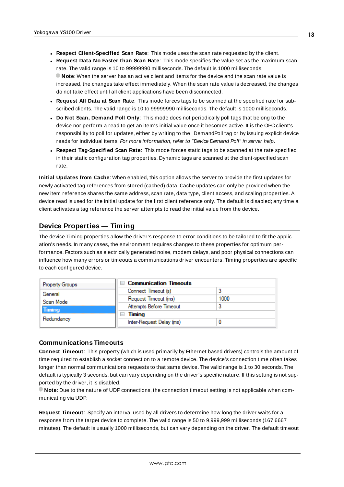- <sup>l</sup> **Respect Client-Specified Scan Rate**: This mode uses the scan rate requested by the client.
- <sup>l</sup> **Request Data No Faster than Scan Rate**: This mode specifies the value set as the maximum scan rate. The valid range is 10 to 99999990 milliseconds. The default is 1000 milliseconds. **Note**: When the server has an active client and items for the device and the scan rate value is increased, the changes take effect immediately. When the scan rate value is decreased, the changes do not take effect until all client applications have been disconnected.
- <sup>l</sup> **Request All Data at Scan Rate**: This mode forces tags to be scanned at the specified rate for subscribed clients. The valid range is 10 to 99999990 milliseconds. The default is 1000 milliseconds.
- <span id="page-12-3"></span><sup>l</sup> **Do Not Scan, Demand Poll Only**: This mode does not periodically poll tags that belong to the device nor perform a read to get an item's initial value once it becomes active. It is the OPC client's responsibility to poll for updates, either by writing to the \_DemandPoll tag or by issuing explicit device reads for individual items. For more information, refer to "Device Demand Poll" in server help.
- <span id="page-12-5"></span><sup>l</sup> **Respect Tag-Specified Scan Rate**: This mode forces static tags to be scanned at the rate specified in their static configuration tag properties. Dynamic tags are scanned at the client-specified scan rate.

<span id="page-12-4"></span>**Initial Updates from Cache**: When enabled, this option allows the server to provide the first updates for newly activated tag references from stored (cached) data. Cache updates can only be provided when the new item reference shares the same address, scan rate, data type, client access, and scaling properties. A device read is used for the initial update for the first client reference only. The default is disabled; any time a client activates a tag reference the server attempts to read the initial value from the device.

## <span id="page-12-1"></span><span id="page-12-0"></span>**Device Properties — Timing**

The device Timing properties allow the driver's response to error conditions to be tailored to fit the application's needs. In many cases, the environment requires changes to these properties for optimum performance. Factors such as electrically generated noise, modem delays, and poor physical connections can influence how many errors or timeouts a communications driver encounters. Timing properties are specific to each configured device.

| <b>Property Groups</b> | <b>Communication Timeouts</b><br>$\blacksquare$ |      |
|------------------------|-------------------------------------------------|------|
| General                | Connect Timeout (s)                             |      |
| Scan Mode              | Request Timeout (ms)                            | 1000 |
| <b>Timing</b>          | Attempts Before Timeout                         |      |
| Redundancy             | Timing<br>$\overline{}$                         |      |
|                        | Inter-Request Delay (ms)                        |      |

#### <span id="page-12-2"></span>**Communications Timeouts**

**Connect Timeout**: This property (which is used primarily by Ethernet based drivers) controls the amount of time required to establish a socket connection to a remote device. The device's connection time often takes longer than normal communications requests to that same device. The valid range is 1 to 30 seconds. The default is typically 3 seconds, but can vary depending on the driver's specific nature. If this setting is not supported by the driver, it is disabled.

**Note**: Due to the nature of UDPconnections, the connection timeout setting is not applicable when communicating via UDP.

**Request Timeout**: Specify an interval used by all drivers to determine how long the driver waits for a response from the target device to complete. The valid range is 50 to 9,999,999 milliseconds (167.6667 minutes). The default is usually 1000 milliseconds, but can vary depending on the driver. The default timeout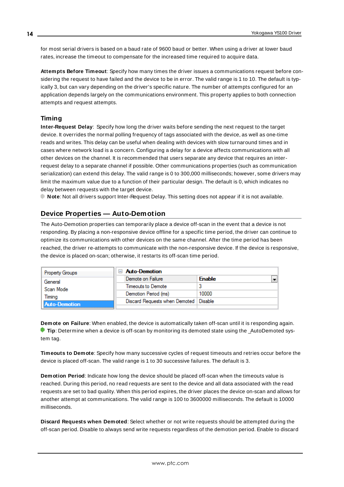<span id="page-13-5"></span>for most serial drivers is based on a baud rate of 9600 baud or better. When using a driver at lower baud rates, increase the timeout to compensate for the increased time required to acquire data.

<span id="page-13-1"></span>**Attempts Before Timeout**: Specify how many times the driver issues a communications request before considering the request to have failed and the device to be in error. The valid range is 1 to 10. The default is typically 3, but can vary depending on the driver's specific nature. The number of attempts configured for an application depends largely on the communications environment. This property applies to both connection attempts and request attempts.

#### <span id="page-13-4"></span>**Timing**

**Inter-Request Delay**: Specify how long the driver waits before sending the next request to the target device. It overrides the normal polling frequency of tags associated with the device, as well as one-time reads and writes. This delay can be useful when dealing with devices with slow turnaround times and in cases where network load is a concern. Configuring a delay for a device affects communications with all other devices on the channel. It is recommended that users separate any device that requires an interrequest delay to a separate channel if possible. Other communications properties (such as communication serialization) can extend this delay. The valid range is 0 to 300,000 milliseconds; however, some drivers may limit the maximum value due to a function of their particular design. The default is 0, which indicates no delay between requests with the target device.

<span id="page-13-0"></span>**Note**: Not all drivers support Inter-Request Delay. This setting does not appear if it is not available.

## **Device Properties — Auto-Demotion**

The Auto-Demotion properties can temporarily place a device off-scan in the event that a device is not responding. By placing a non-responsive device offline for a specific time period, the driver can continue to optimize its communications with other devices on the same channel. After the time period has been reached, the driver re-attempts to communicate with the non-responsive device. If the device is responsive, the device is placed on-scan; otherwise, it restarts its off-scan time period.

|  | <b>Property Groups</b> | $\Box$ Auto-Demotion                    |               |   |
|--|------------------------|-----------------------------------------|---------------|---|
|  | General                | Demote on Failure                       | <b>Enable</b> | × |
|  | Scan Mode              | Timeouts to Demote                      |               |   |
|  | Timina                 | Demotion Period (ms)                    | 10000         |   |
|  | <b>Auto-Demotion</b>   | Discard Requests when Demoted   Disable |               |   |
|  |                        |                                         |               |   |

<span id="page-13-2"></span>**Demote on Failure**: When enabled, the device is automatically taken off-scan until it is responding again. **Tip:** Determine when a device is off-scan by monitoring its demoted state using the \_AutoDemoted system tag.

<span id="page-13-6"></span>**Timeouts to Demote**: Specify how many successive cycles of request timeouts and retries occur before the device is placed off-scan. The valid range is 1 to 30 successive failures. The default is 3.

<span id="page-13-3"></span>**Demotion Period**: Indicate how long the device should be placed off-scan when the timeouts value is reached. During this period, no read requests are sent to the device and all data associated with the read requests are set to bad quality. When this period expires, the driver places the device on-scan and allows for another attempt at communications. The valid range is 100 to 3600000 milliseconds. The default is 10000 milliseconds.

**Discard Requests when Demoted**: Select whether or not write requests should be attempted during the off-scan period. Disable to always send write requests regardless of the demotion period. Enable to discard

**14**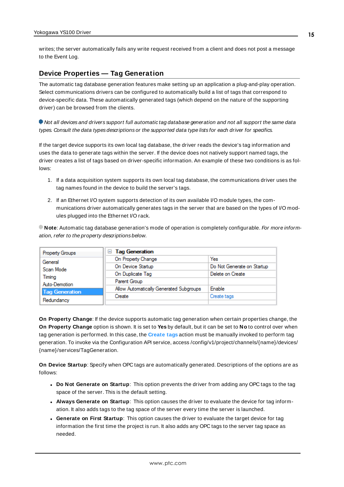<span id="page-14-1"></span>writes; the server automatically fails any write request received from a client and does not post a message to the Event Log.

#### <span id="page-14-0"></span>**Device Properties — Tag Generation**

The automatic tag database generation features make setting up an application a plug-and-play operation. Select communications drivers can be configured to automatically build a list of tags that correspond to device-specific data. These automatically generated tags (which depend on the nature of the supporting driver) can be browsed from the clients.

Not all devices and drivers support full automatic tag database generation and not all support the same data types. Consult the data types descriptions or the supported data type lists for each driver for specifics.

If the target device supports its own local tag database, the driver reads the device's tag information and uses the data to generate tags within the server. If the device does not natively support named tags, the driver creates a list of tags based on driver-specific information. An example of these two conditions is as follows:

- 1. If a data acquisition system supports its own local tag database, the communications driver uses the tag names found in the device to build the server's tags.
- 2. If an Ethernet I/O system supports detection of its own available I/O module types, the communications driver automatically generates tags in the server that are based on the types of I/O modules plugged into the Ethernet I/O rack.

**Note**: Automatic tag database generation's mode of operation is completely configurable. For more information, refer to the property descriptions below.

| Property Groups       | <b>Tag Generation</b><br>⊟              |                            |
|-----------------------|-----------------------------------------|----------------------------|
| General               | On Property Change                      | Yes                        |
| Scan Mode             | On Device Startup                       | Do Not Generate on Startup |
| Timina                | On Duplicate Tag                        | Delete on Create           |
| Auto-Demotion         | Parent Group                            |                            |
| <b>Tag Generation</b> | Allow Automatically Generated Subgroups | Enable                     |
|                       | Create                                  | Create tags                |
| Redundancy            |                                         |                            |

<span id="page-14-4"></span>**On Property Change**: If the device supports automatic tag generation when certain properties change, the **On Property Change** option is shown. It is set to **Yes** by default, but it can be set to **No** to control over when tag generation is performed. In this case, the **Create tags** action must be manually invoked to perform tag generation. To invoke via the Configuration API service, access /config/v1/project/channels/{name}/devices/ {name}/services/TagGeneration.

<span id="page-14-3"></span>**On Device Startup**: Specify when OPC tags are automatically generated. Descriptions of the options are as follows:

- <span id="page-14-2"></span><sup>l</sup> **Do Not Generate on Startup**: This option prevents the driver from adding any OPC tags to the tag space of the server. This is the default setting.
- <sup>l</sup> **Always Generate on Startup**: This option causes the driver to evaluate the device for tag information. It also adds tags to the tag space of the server every time the server is launched.
- <sup>l</sup> **Generate on First Startup**: This option causes the driver to evaluate the target device for tag information the first time the project is run. It also adds any OPC tags to the server tag space as needed.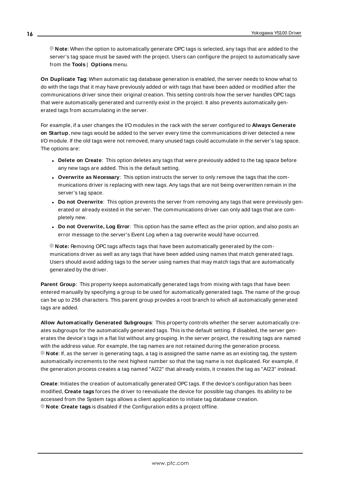**Note**: When the option to automatically generate OPC tags is selected, any tags that are added to the server's tag space must be saved with the project. Users can configure the project to automatically save from the **Tools** | **Options** menu.

<span id="page-15-3"></span>**On Duplicate Tag**: When automatic tag database generation is enabled, the server needs to know what to do with the tags that it may have previously added or with tags that have been added or modified after the communications driver since their original creation. This setting controls how the server handles OPC tags that were automatically generated and currently exist in the project. It also prevents automatically generated tags from accumulating in the server.

For example, if a user changes the I/O modules in the rack with the server configured to **Always Generate on Startup**, new tags would be added to the server every time the communications driver detected a new I/O module. If the old tags were not removed, many unused tags could accumulate in the server's tag space. The options are:

- <span id="page-15-2"></span>**• Delete on Create**: This option deletes any tags that were previously added to the tag space before any new tags are added. This is the default setting.
- <span id="page-15-4"></span><sup>l</sup> **Overwrite as Necessary**: This option instructs the server to only remove the tags that the communications driver is replacing with new tags. Any tags that are not being overwritten remain in the server's tag space.
- <sup>l</sup> **Do not Overwrite**: This option prevents the server from removing any tags that were previously generated or already existed in the server. The communications driver can only add tags that are completely new.
- <sup>l</sup> **Do not Overwrite, Log Error**: This option has the same effect as the prior option, and also posts an error message to the server's Event Log when a tag overwrite would have occurred.

**Note:** Removing OPC tags affects tags that have been automatically generated by the communications driver as well as any tags that have been added using names that match generated tags. Users should avoid adding tags to the server using names that may match tags that are automatically generated by the driver.

<span id="page-15-5"></span>**Parent Group**: This property keeps automatically generated tags from mixing with tags that have been entered manually by specifying a group to be used for automatically generated tags. The name of the group can be up to 256 characters. This parent group provides a root branch to which all automatically generated tags are added.

<span id="page-15-0"></span>**Allow Automatically Generated Subgroups**: This property controls whether the server automatically creates subgroups for the automatically generated tags. This is the default setting. If disabled, the server generates the device's tags in a flat list without any grouping. In the server project, the resulting tags are named with the address value. For example, the tag names are not retained during the generation process. **Note**: If, as the server is generating tags, a tag is assigned the same name as an existing tag, the system automatically increments to the next highest number so that the tag name is not duplicated. For example, if the generation process creates a tag named "AI22" that already exists, it creates the tag as "AI23" instead.

<span id="page-15-1"></span>**Create**: Initiates the creation of automatically generated OPC tags. If the device's configuration has been modified, **Create tags** forces the driver to reevaluate the device for possible tag changes. Its ability to be accessed from the System tags allows a client application to initiate tag database creation. **Note**: **Create tags** is disabled if the Configuration edits a project offline.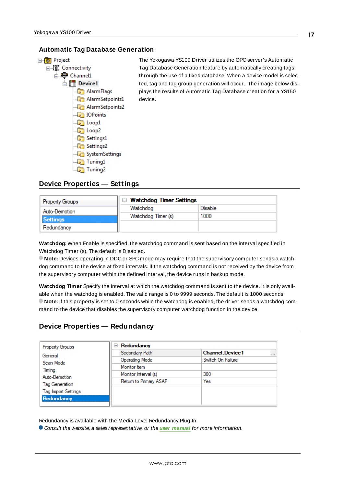#### <span id="page-16-0"></span>**Automatic Tag Database Generation**



The Yokogawa YS100 Driver utilizes the OPC server's Automatic Tag Database Generation feature by automatically creating tags through the use of a fixed database. When a device model is selected, tag and tag group generation will occur. The image below displays the results of Automatic Tag Database creation for a YS150 device.

#### <span id="page-16-1"></span>**Device Properties — Settings**

| <b>Property Groups</b>           | □ Watchdog Timer Settings |         |  |  |
|----------------------------------|---------------------------|---------|--|--|
| Auto-Demotion<br><b>Settings</b> | Watchdog                  | Disable |  |  |
|                                  | Watchdog Timer (s)        | 1000    |  |  |
| Redundancy                       |                           |         |  |  |

**Watchdog:** When Enable is specified, the watchdog command is sent based on the interval specified in Watchdog Timer (s). The default is Disabled.

**Note:** Devices operating in DDC or SPC mode may require that the supervisory computer sends a watchdog command to the device at fixed intervals. If the watchdog command is not received by the device from the supervisory computer within the defined interval, the device runs in backup mode.

**Watchdog Timer** Specify the interval at which the watchdog command is sent to the device. It is only available when the watchdog is enabled. The valid range is 0 to 9999 seconds. The default is 1000 seconds. **Note:** If this property is set to 0 seconds while the watchdog is enabled, the driver sends a watchdog command to the device that disables the supervisory computer watchdog function in the device.

#### <span id="page-16-2"></span>**Device Properties — Redundancy**

| <b>Property Groups</b>     | Redundancy<br>$=$      |                                    |
|----------------------------|------------------------|------------------------------------|
| General                    | Secondary Path         | <b>Channel Device1</b><br>$\cdots$ |
| Scan Mode                  | <b>Operating Mode</b>  | Switch On Failure                  |
| Timing                     | Monitor Item           |                                    |
| Auto-Demotion              | Monitor Interval (s)   | 300                                |
| <b>Tag Generation</b>      | Return to Primary ASAP | Yes                                |
| <b>Tag Import Settings</b> |                        |                                    |
| Redundancy                 |                        |                                    |
|                            |                        |                                    |

Redundancy is available with the Media-Level Redundancy Plug-In.

Consult the website, a sales representative, or the **user [manual](https://www.kepware.com/getattachment/35461efd-b53a-4219-a109-a89fad20b230/media-level-redundancy-manual.pdf)** for more information.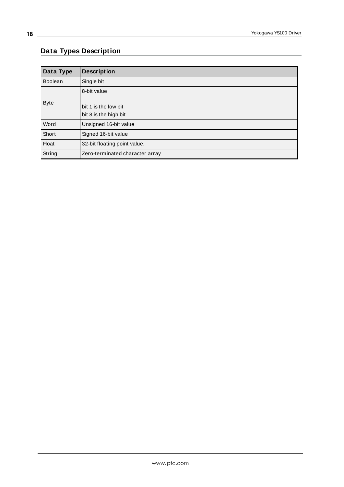## <span id="page-17-0"></span>**Data Types Description**

<span id="page-17-5"></span><span id="page-17-4"></span><span id="page-17-3"></span><span id="page-17-2"></span><span id="page-17-1"></span>

| Data Type      | <b>Description</b>                                           |
|----------------|--------------------------------------------------------------|
| <b>Boolean</b> | Single bit                                                   |
| <b>Byte</b>    | 8-bit value<br>bit 1 is the low bit<br>bit 8 is the high bit |
| Word           | Unsigned 16-bit value                                        |
| Short          | Signed 16-bit value                                          |
| <b>Float</b>   | 32-bit floating point value.                                 |
| String         | Zero-terminated character array                              |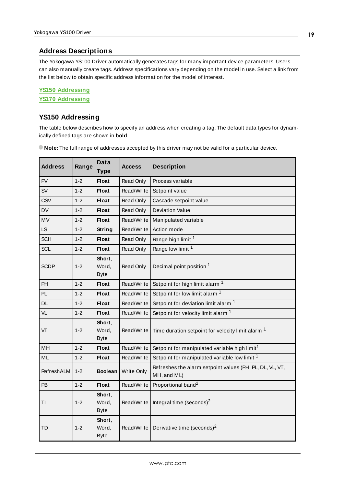#### <span id="page-18-0"></span>**Address Descriptions**

The Yokogawa YS100 Driver automatically generates tags for many important device parameters. Users can also manually create tags. Address specifications vary depending on the model in use. Select a link from the list below to obtain specific address information for the model of interest.

#### **YS150 [Addressing](#page-18-1) YS170 [Addressing](#page-21-0)**

#### <span id="page-18-1"></span>**YS150 Addressing**

The table below describes how to specify an address when creating a tag. The default data types for dynamically defined tags are shown in **bold**.

| <b>Address</b> | Range   | <b>Data</b><br><b>Type</b>     | <b>Access</b> | <b>Description</b>                                                      |
|----------------|---------|--------------------------------|---------------|-------------------------------------------------------------------------|
| PV             | $1 - 2$ | <b>Float</b>                   | Read Only     | Process variable                                                        |
| <b>SV</b>      | $1 - 2$ | <b>Float</b>                   | Read/Write    | Setpoint value                                                          |
| <b>CSV</b>     | $1 - 2$ | <b>Float</b>                   | Read Only     | Cascade setpoint value                                                  |
| <b>DV</b>      | $1 - 2$ | <b>Float</b>                   | Read Only     | <b>Deviation Value</b>                                                  |
| <b>MV</b>      | $1 - 2$ | <b>Float</b>                   | Read/Write    | Manipulated variable                                                    |
| <b>LS</b>      | $1 - 2$ | <b>String</b>                  | Read/Write    | Action mode                                                             |
| <b>SCH</b>     | $1 - 2$ | <b>Float</b>                   | Read Only     | Range high limit <sup>1</sup>                                           |
| <b>SCL</b>     | $1 - 2$ | <b>Float</b>                   | Read Only     | Range low limit <sup>1</sup>                                            |
| <b>SCDP</b>    | $1 - 2$ | Short.<br>Word,<br><b>Byte</b> | Read Only     | Decimal point position 1                                                |
| PH             | $1 - 2$ | <b>Float</b>                   | Read/Write    | Setpoint for high limit alarm <sup>1</sup>                              |
| PL             | $1 - 2$ | <b>Float</b>                   | Read/Write    | Setpoint for low limit alarm <sup>1</sup>                               |
| <b>DL</b>      | $1 - 2$ | <b>Float</b>                   | Read/Write    | Setpoint for deviation limit alarm <sup>1</sup>                         |
| VL             | $1 - 2$ | <b>Float</b>                   | Read/Write    | Setpoint for velocity limit alarm <sup>1</sup>                          |
| VT             | $1 - 2$ | Short,<br>Word,<br><b>Byte</b> | Read/Write    | Time duration setpoint for velocity limit alarm <sup>1</sup>            |
| MH             | $1 - 2$ | <b>Float</b>                   | Read/Write    | Setpoint for manipulated variable high limit <sup>1</sup>               |
| ML             | $1 - 2$ | <b>Float</b>                   | Read/Write    | Setpoint for manipulated variable low limit <sup>1</sup>                |
| RefreshALM     | $1 - 2$ | <b>Boolean</b>                 | Write Only    | Refreshes the alarm setpoint values (PH, PL, DL, VL, VT,<br>MH, and ML) |
| <b>PB</b>      | $1 - 2$ | <b>Float</b>                   | Read/Write    | Proportional band <sup>2</sup>                                          |
| ΤI             | $1 - 2$ | Short,<br>Word,<br><b>Byte</b> | Read/Write    | Integral time (seconds) $^2$                                            |
| <b>TD</b>      | $1 - 2$ | Short,<br>Word,<br><b>Byte</b> | Read/Write    | Derivative time (seconds) <sup>2</sup>                                  |

**Note:** The full range of addresses accepted by this driver may not be valid for a particular device.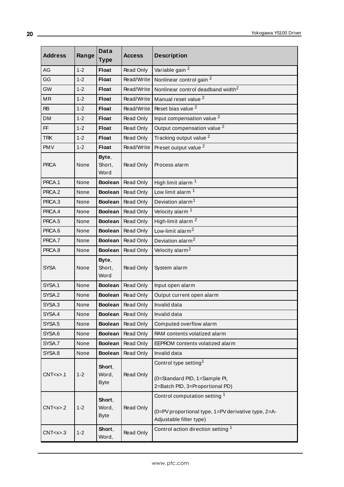| <b>Address</b> | Range   | <b>Data</b><br><b>Type</b>     | <b>Access</b>    | <b>Description</b>                                                                                              |
|----------------|---------|--------------------------------|------------------|-----------------------------------------------------------------------------------------------------------------|
| AG             | $1 - 2$ | <b>Float</b>                   | Read Only        | Variable gain <sup>2</sup>                                                                                      |
| GG             | $1 - 2$ | <b>Float</b>                   | Read/Write       | Nonlinear control gain <sup>2</sup>                                                                             |
| GW             | $1 - 2$ | <b>Float</b>                   | Read/Write       | Nonlinear control deadband width <sup>2</sup>                                                                   |
| MR             | $1 - 2$ | <b>Float</b>                   | Read/Write       | Manual reset value <sup>2</sup>                                                                                 |
| <b>RB</b>      | $1 - 2$ | <b>Float</b>                   | Read/Write       | Reset bias value <sup>2</sup>                                                                                   |
| <b>DM</b>      | $1 - 2$ | <b>Float</b>                   | Read Only        | Input compensation value <sup>2</sup>                                                                           |
| FF             | $1 - 2$ | <b>Float</b>                   | Read Only        | Output compensation value <sup>2</sup>                                                                          |
| <b>TRK</b>     | $1 - 2$ | <b>Float</b>                   | Read Only        | Tracking output value <sup>2</sup>                                                                              |
| <b>PMV</b>     | $1 - 2$ | <b>Float</b>                   | Read/Write       | Preset output value <sup>2</sup>                                                                                |
| <b>PRCA</b>    | None    | Byte,<br>Short,<br>Word        | Read Only        | Process alarm                                                                                                   |
| PRCA.1         | None    | <b>Boolean</b>                 | <b>Read Only</b> | High limit alarm <sup>1</sup>                                                                                   |
| PRCA.2         | None    | <b>Boolean</b>                 | Read Only        | Low limit alarm <sup>1</sup>                                                                                    |
| PRCA.3         | None    | <b>Boolean</b>                 | Read Only        | Deviation alarm <sup>1</sup>                                                                                    |
| PRCA.4         | None    | <b>Boolean</b>                 | Read Only        | Velocity alarm <sup>1</sup>                                                                                     |
| PRCA.5         | None    | <b>Boolean</b>                 | <b>Read Only</b> | High-limit alarm <sup>2</sup>                                                                                   |
| PRCA.6         | None    | <b>Boolean</b>                 | Read Only        | Low-limit alarm <sup>2</sup>                                                                                    |
| PRCA.7         | None    | <b>Boolean</b>                 | Read Only        | Deviation alarm <sup>2</sup>                                                                                    |
| PRCA.8         | None    | <b>Boolean</b>                 | Read Only        | Velocity alarm <sup>2</sup>                                                                                     |
| <b>SYSA</b>    | None    | Byte,<br>Short,<br>Word        | Read Only        | System alarm                                                                                                    |
| SYSA.1         | None    | <b>Boolean</b>                 | Read Only        | Input open alarm                                                                                                |
| SYSA.2         | None    | <b>Boolean</b>                 | Read Only        | Output current open alarm                                                                                       |
| SYSA.3         | None    | Boolean                        | Read Only        | Invalid data                                                                                                    |
| SYSA.4         | None    | <b>Boolean</b>                 | Read Only        | Invalid data                                                                                                    |
| SYSA.5         | None    | <b>Boolean</b>                 | Read Only        | Computed overflow alarm                                                                                         |
| SYSA.6         | None    | <b>Boolean</b>                 | Read Only        | RAM contents volatized alarm                                                                                    |
| SYSA.7         | None    | <b>Boolean</b>                 | Read Only        | EEPROM contents volatized alarm                                                                                 |
| SYSA.8         | None    | <b>Boolean</b>                 | Read Only        | Invalid data                                                                                                    |
| CNT < x > .1   | $1 - 2$ | Short,<br>Word,<br><b>Byte</b> | Read Only        | Control type setting <sup>1</sup><br>(0=Standard PID, 1=Sample PI,<br>2=Batch PID, 3=Proportional PD)           |
| CNT < x > .2   | $1 - 2$ | Short,<br>Word,<br><b>Byte</b> | Read Only        | Control computation setting 1<br>(0=PV proportional type, 1=PV derivative type, 2=A-<br>Adjustable filter type) |
| CNT < x > .3   | $1 - 2$ | Short,<br>Word,                | Read Only        | Control action direction setting 1                                                                              |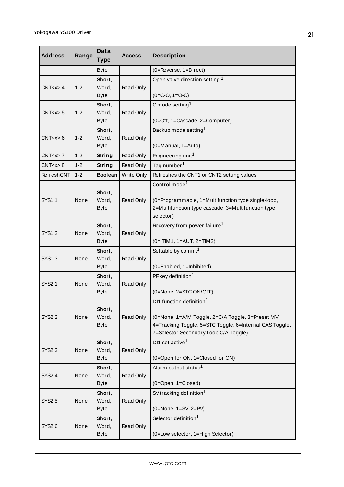| <b>Address</b> | Range   | Data<br><b>Type</b>            | <b>Access</b> | <b>Description</b>                                                                                                                                                                            |
|----------------|---------|--------------------------------|---------------|-----------------------------------------------------------------------------------------------------------------------------------------------------------------------------------------------|
|                |         | <b>Byte</b>                    |               | (0=Reverse, 1=Direct)                                                                                                                                                                         |
| CNT < x > .4   | $1 - 2$ | Short,<br>Word,<br><b>Byte</b> | Read Only     | Open valve direction setting 1<br>$(0=$ C-O, 1=O-C)                                                                                                                                           |
| CNT < x > .5   | $1 - 2$ | Short,<br>Word,<br><b>Byte</b> | Read Only     | C mode setting <sup>1</sup><br>(0=Off, 1=Cascade, 2=Computer)                                                                                                                                 |
| CNT < x > .6   | $1 - 2$ | Short,<br>Word,<br><b>Byte</b> | Read Only     | Backup mode setting <sup>1</sup><br>(0=Manual, 1=Auto)                                                                                                                                        |
| CNT < x > .7   | $1 - 2$ | String                         | Read Only     | Engineering unit <sup>1</sup>                                                                                                                                                                 |
| CNT < x > .8   | $1 - 2$ | String                         | Read Only     | Tag number <sup>1</sup>                                                                                                                                                                       |
| RefreshCNT     | $1 - 2$ | <b>Boolean</b>                 | Write Only    | Refreshes the CNT1 or CNT2 setting values                                                                                                                                                     |
| <b>SYS1.1</b>  | None    | Short,<br>Word,<br><b>Byte</b> | Read Only     | Control mode <sup>1</sup><br>(0=Programmable, 1=Multifunction type single-loop,<br>2=Multifunction type cascade, 3=Multifunction type<br>selector)                                            |
| <b>SYS1.2</b>  | None    | Short,<br>Word,<br><b>Byte</b> | Read Only     | Recovery from power failure <sup>1</sup><br>$(0= TIM 1, 1=AUT, 2=TIM 2)$                                                                                                                      |
| SYS1.3         | None    | Short,<br>Word,<br><b>Byte</b> | Read Only     | Settable by comm. <sup>1</sup><br>(0=Enabled, 1=Inhibited)                                                                                                                                    |
| <b>SYS2.1</b>  | None    | Short,<br>Word,<br><b>Byte</b> | Read Only     | PF key definition <sup>1</sup><br>(0=None, 2=STC ON/OFF)                                                                                                                                      |
| <b>SYS2.2</b>  | None    | Short,<br>Word,<br><b>Byte</b> | Read Only     | DI1 function definition <sup>1</sup><br>(0=None, 1=A/M Toggle, 2=C/A Toggle, 3=Preset MV,<br>4=Tracking Toggle, 5=STC Toggle, 6=Internal CAS Toggle,<br>7=Selector Secondary Loop C/A Toggle) |
| <b>SYS2.3</b>  | None    | Short,<br>Word,<br><b>Byte</b> | Read Only     | DI1 set active <sup>1</sup><br>(0=Open for ON, 1=Closed for ON)                                                                                                                               |
| <b>SYS2.4</b>  | None    | Short,<br>Word,<br><b>Byte</b> | Read Only     | Alarm output status <sup>1</sup><br>(0=Open, 1=Closed)                                                                                                                                        |
| <b>SYS2.5</b>  | None    | Short,<br>Word,<br><b>Byte</b> | Read Only     | SV tracking definition <sup>1</sup><br>$(0=None, 1=SV, 2=PV)$                                                                                                                                 |
| SYS2.6         | None    | Short,<br>Word,<br><b>Byte</b> | Read Only     | Selector definition <sup>1</sup><br>(0=Low selector, 1=High Selector)                                                                                                                         |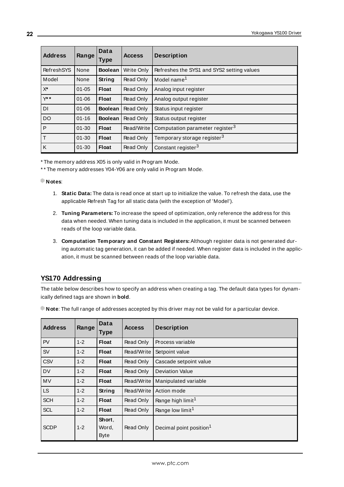| <b>Address</b>    | Range     | Data<br><b>Type</b> | <b>Access</b> | <b>Description</b>                          |
|-------------------|-----------|---------------------|---------------|---------------------------------------------|
| <b>RefreshSYS</b> | None      | <b>Boolean</b>      | Write Only    | Refreshes the SYS1 and SYS2 setting values  |
| Model             | None      | <b>String</b>       | Read Only     | Model name <sup>1</sup>                     |
| $X^*$             | $01 - 05$ | <b>Float</b>        | Read Only     | Analog input register                       |
| $Y^*$             | $01 - 06$ | <b>Float</b>        | Read Only     | Analog output register                      |
| DI                | $01 - 06$ | <b>Boolean</b>      | Read Only     | Status input register                       |
| <b>DO</b>         | $01 - 16$ | <b>Boolean</b>      | Read Only     | Status output register                      |
| P                 | $01 - 30$ | Float               | Read/Write    | Computation parameter register <sup>3</sup> |
| $\mathsf{T}$      | $01 - 30$ | <b>Float</b>        | Read Only     | Temporary storage register <sup>3</sup>     |
| К                 | $01 - 30$ | <b>Float</b>        | Read Only     | Constant register <sup>3</sup>              |

\* The memory address X05 is only valid in Program Mode.

\* \* The memory addresses Y04-Y06 are only valid in Program Mode.

**Notes**:

- 1. **Static Data:** The data is read once at start up to initialize the value. To refresh the data, use the applicable Refresh Tag for all static data (with the exception of 'Model').
- 2. **Tuning Parameters:** To increase the speed of optimization, only reference the address for this data when needed. When tuning data is included in the application, it must be scanned between reads of the loop variable data.
- 3. **Computation Temporary and Constant Registers:** Although register data is not generated during automatic tag generation, it can be added if needed. When register data is included in the application, it must be scanned between reads of the loop variable data.

## <span id="page-21-0"></span>**YS170 Addressing**

The table below describes how to specify an address when creating a tag. The default data types for dynamically defined tags are shown in **bold**.

| <b>Address</b> | Range   | <b>Data</b><br><b>Type</b>     | <b>Access</b> | <b>Description</b>                  |
|----------------|---------|--------------------------------|---------------|-------------------------------------|
| <b>PV</b>      | $1 - 2$ | <b>Float</b>                   | Read Only     | Process variable                    |
| <b>SV</b>      | $1 - 2$ | <b>Float</b>                   | Read/Write    | Setpoint value                      |
| CSV            | $1 - 2$ | <b>Float</b>                   | Read Only     | Cascade setpoint value              |
| <b>DV</b>      | $1 - 2$ | <b>Float</b>                   | Read Only     | <b>Deviation Value</b>              |
| <b>MV</b>      | $1 - 2$ | <b>Float</b>                   | Read/Write    | Manipulated variable                |
| LS.            | $1 - 2$ | <b>String</b>                  | Read/Write    | Action mode                         |
| <b>SCH</b>     | $1 - 2$ | <b>Float</b>                   | Read Only     | Range high limit <sup>1</sup>       |
| <b>SCL</b>     | $1 - 2$ | <b>Float</b>                   | Read Only     | Range low limit <sup>1</sup>        |
| <b>SCDP</b>    | $1 - 2$ | Short,<br>Word,<br><b>Byte</b> | Read Only     | Decimal point position <sup>1</sup> |

**Note**: The full range of addresses accepted by this driver may not be valid for a particular device.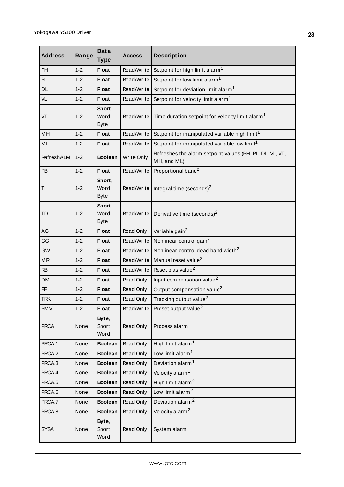| <b>Address</b> | Range   | <b>Data</b><br><b>Type</b>     | <b>Access</b> | <b>Description</b>                                                      |
|----------------|---------|--------------------------------|---------------|-------------------------------------------------------------------------|
| PH             | $1 - 2$ | <b>Float</b>                   | Read/Write    | Setpoint for high limit alarm <sup>1</sup>                              |
| <b>PL</b>      | $1 - 2$ | <b>Float</b>                   | Read/Write    | Setpoint for low limit alarm <sup>1</sup>                               |
| <b>DL</b>      | $1 - 2$ | <b>Float</b>                   | Read/Write    | Setpoint for deviation limit alarm <sup>1</sup>                         |
| VL             | $1 - 2$ | <b>Float</b>                   | Read/Write    | Setpoint for velocity limit alarm <sup>1</sup>                          |
| VT             | $1 - 2$ | Short,<br>Word,<br><b>Byte</b> | Read/Write    | Time duration setpoint for velocity limit alarm <sup>1</sup>            |
| MH             | $1 - 2$ | <b>Float</b>                   | Read/Write    | Setpoint for manipulated variable high limit <sup>1</sup>               |
| ML             | $1 - 2$ | <b>Float</b>                   | Read/Write    | Setpoint for manipulated variable low limit <sup>1</sup>                |
| RefreshALM     | $1 - 2$ | <b>Boolean</b>                 | Write Only    | Refreshes the alarm setpoint values (PH, PL, DL, VL, VT,<br>MH, and ML) |
| <b>PB</b>      | $1 - 2$ | <b>Float</b>                   | Read/Write    | Proportional band <sup>2</sup>                                          |
| TI             | $1 - 2$ | Short,<br>Word,<br><b>Byte</b> | Read/Write    | Integral time (seconds) <sup>2</sup>                                    |
| <b>TD</b>      | $1 - 2$ | Short,<br>Word,<br><b>Byte</b> |               | Read/Write   Derivative time (seconds) <sup>2</sup>                     |
| AG             | $1 - 2$ | <b>Float</b>                   | Read Only     | Variable gain <sup>2</sup>                                              |
| GG             | $1 - 2$ | <b>Float</b>                   | Read/Write    | Nonlinear control gain <sup>2</sup>                                     |
| <b>GW</b>      | $1 - 2$ | <b>Float</b>                   | Read/Write    | Nonlinear control dead band width <sup>2</sup>                          |
| MR             | $1 - 2$ | <b>Float</b>                   | Read/Write    | Manual reset value <sup>2</sup>                                         |
| <b>RB</b>      | $1 - 2$ | <b>Float</b>                   | Read/Write    | Reset bias value <sup>2</sup>                                           |
| <b>DM</b>      | $1 - 2$ | <b>Float</b>                   | Read Only     | Input compensation value <sup>2</sup>                                   |
| FF             | $1 - 2$ | <b>Float</b>                   | Read Only     | Output compensation value <sup>2</sup>                                  |
| <b>TRK</b>     | $1 - 2$ | <b>Float</b>                   | Read Only     | Tracking output value <sup>2</sup>                                      |
| PMV            | $1 - 2$ | <b>Float</b>                   | Read/Write    | Preset output value <sup>2</sup>                                        |
| <b>PRCA</b>    | None    | Byte,<br>Short,<br>Word        | Read Only     | Process alarm                                                           |
| PRCA.1         | None    | <b>Boolean</b>                 | Read Only     | High limit alarm <sup>1</sup>                                           |
| PRCA.2         | None    | <b>Boolean</b>                 | Read Only     | Low limit alarm <sup>1</sup>                                            |
| PRCA.3         | None    | <b>Boolean</b>                 | Read Only     | Deviation alarm <sup>1</sup>                                            |
| PRCA.4         | None    | <b>Boolean</b>                 | Read Only     | Velocity alarm <sup>1</sup>                                             |
| PRCA.5         | None    | <b>Boolean</b>                 | Read Only     | High limit alarm <sup>2</sup>                                           |
| PRCA.6         | None    | <b>Boolean</b>                 | Read Only     | Low limit alarm <sup>2</sup>                                            |
| PRCA.7         | None    | <b>Boolean</b>                 | Read Only     | Deviation alarm <sup>2</sup>                                            |
| PRCA.8         | None    | <b>Boolean</b>                 | Read Only     | Velocity alarm <sup>2</sup>                                             |
| <b>SYSA</b>    | None    | Byte,<br>Short,<br>Word        | Read Only     | System alarm                                                            |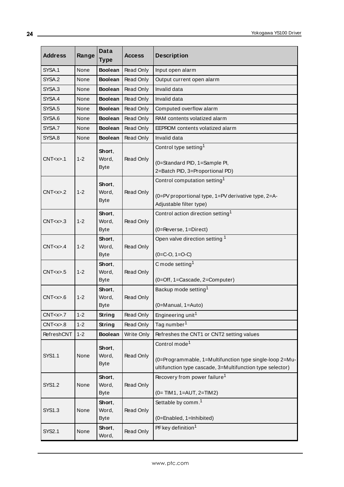| <b>Address</b> | Range   | Data<br><b>Type</b>            | <b>Access</b>     | <b>Description</b>                                                                                                                                |
|----------------|---------|--------------------------------|-------------------|---------------------------------------------------------------------------------------------------------------------------------------------------|
| SYSA.1         | None    | <b>Boolean</b>                 | Read Only         | Input open alarm                                                                                                                                  |
| SYSA.2         | None    | <b>Boolean</b>                 | Read Only         | Output current open alarm                                                                                                                         |
| SYSA.3         | None    | <b>Boolean</b>                 | Read Only         | Invalid data                                                                                                                                      |
| SYSA.4         | None    | <b>Boolean</b>                 | Read Only         | Invalid data                                                                                                                                      |
| SYSA.5         | None    | <b>Boolean</b>                 | Read Only         | Computed overflow alarm                                                                                                                           |
| SYSA.6         | None    | <b>Boolean</b>                 | Read Only         | RAM contents volatized alarm                                                                                                                      |
| SYSA.7         | None    | <b>Boolean</b>                 | Read Only         | EEPROM contents volatized alarm                                                                                                                   |
| SYSA.8         | None    | <b>Boolean</b>                 | Read Only         | Invalid data                                                                                                                                      |
| CNT < x > .1   | $1 - 2$ | Short,<br>Word,<br><b>Byte</b> | Read Only         | Control type setting <sup>1</sup><br>(0=Standard PID, 1=Sample PI,<br>2=Batch PID, 3=Proportional PD)                                             |
| CNT < x > .2   | $1 - 2$ | Short,<br>Word,<br><b>Byte</b> | Read Only         | Control computation setting <sup>1</sup><br>(0=PV proportional type, 1=PV derivative type, 2=A-<br>Adjustable filter type)                        |
| CNT < x > .3   | $1 - 2$ | Short,<br>Word,<br><b>Byte</b> | Read Only         | Control action direction setting <sup>1</sup><br>(0=Reverse, 1=Direct)                                                                            |
| CNT < x > .4   | $1 - 2$ | Short,<br>Word,<br><b>Byte</b> | Read Only         | Open valve direction setting 1<br>$(0=$ C-O, 1=O-C)                                                                                               |
| CNT < x > .5   | $1 - 2$ | Short,<br>Word,<br><b>Byte</b> | Read Only         | C mode setting <sup>1</sup><br>(0=Off, 1=Cascade, 2=Computer)                                                                                     |
| CNT < x > .6   | $1 - 2$ | Short,<br>Word,<br><b>Byte</b> | Read Only         | Backup mode setting <sup>1</sup><br>$(0=$ Manual, 1=Auto)                                                                                         |
| CNT < x > .7   | $1 - 2$ | String                         | Read Only         | Engineering unit <sup>1</sup>                                                                                                                     |
| CNT < x > .8   | $1 - 2$ | String                         | Read Only         | Tag number <sup>1</sup>                                                                                                                           |
| RefreshCNT     | $1 - 2$ | <b>Boolean</b>                 | <b>Write Only</b> | Refreshes the CNT1 or CNT2 setting values                                                                                                         |
| SYS1.1         | None    | Short,<br>Word,<br><b>Byte</b> | Read Only         | Control mode <sup>1</sup><br>(0=Programmable, 1=Multifunction type single-loop 2=Mu-<br>ultifunction type cascade, 3=Multifunction type selector) |
| <b>SYS1.2</b>  | None    | Short,<br>Word,<br><b>Byte</b> | Read Only         | Recovery from power failure <sup>1</sup><br>$(0=TIM1, 1=AUT, 2=TIM2)$                                                                             |
| SYS1.3         | None    | Short,<br>Word,<br><b>Byte</b> | Read Only         | Settable by comm. <sup>1</sup><br>(0=Enabled, 1=Inhibited)                                                                                        |
| <b>SYS2.1</b>  | None    | Short,<br>Word,                | Read Only         | PF key definition <sup>1</sup>                                                                                                                    |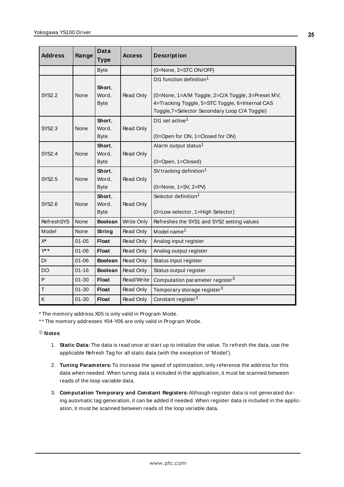| <b>Address</b>     | Range     | Data<br><b>Type</b>            | Access     | <b>Description</b>                                                                                                                                                                            |
|--------------------|-----------|--------------------------------|------------|-----------------------------------------------------------------------------------------------------------------------------------------------------------------------------------------------|
|                    |           | <b>Byte</b>                    |            | (0=None, 2=STC ON/OFF)                                                                                                                                                                        |
| <b>SYS2.2</b>      | None      | Short.<br>Word,<br><b>Byte</b> | Read Only  | DI1 function definition <sup>1</sup><br>(0=None, 1=A/M Toggle, 2=C/A Toggle, 3=Preset MV,<br>4=Tracking Toggle, 5=STC Toggle, 6=Internal CAS<br>Toggle, 7=Selector Secondary Loop C/A Toggle) |
| <b>SYS2.3</b>      | None      | Short,<br>Word,<br><b>Byte</b> | Read Only  | DI1 set active <sup>1</sup><br>(0=Open for ON, 1=Closed for ON)                                                                                                                               |
| <b>SYS2.4</b>      | None      | Short.<br>Word,<br><b>Byte</b> | Read Only  | Alarm output status <sup>1</sup><br>$(0 = Open, 1 = Closed)$                                                                                                                                  |
| <b>SYS2.5</b>      | None      | Short,<br>Word,<br><b>Byte</b> | Read Only  | SV tracking definition <sup>1</sup><br>$(0=None, 1=SV, 2=PV)$                                                                                                                                 |
| SYS2.6             | None      | Short,<br>Word,<br><b>Byte</b> | Read Only  | Selector definition <sup>1</sup><br>(0=Low selector, 1=High Selector)                                                                                                                         |
| <b>RefreshSYS</b>  | None      | <b>Boolean</b>                 | Write Only | Refreshes the SYS1 and SYS2 setting values                                                                                                                                                    |
| Model              | None      | String                         | Read Only  | Model name <sup>1</sup>                                                                                                                                                                       |
| $\mathsf{X}^\star$ | $01 - 05$ | <b>Float</b>                   | Read Only  | Analog input register                                                                                                                                                                         |
| $Y^*$              | $01 - 06$ | <b>Float</b>                   | Read Only  | Analog output register                                                                                                                                                                        |
| DI                 | $01 - 06$ | <b>Boolean</b>                 | Read Only  | Status input register                                                                                                                                                                         |
| <b>DO</b>          | $01 - 16$ | <b>Boolean</b>                 | Read Only  | Status output register                                                                                                                                                                        |
| $\mathsf{P}$       | $01 - 30$ | <b>Float</b>                   | Read/Write | Computation parameter register <sup>3</sup>                                                                                                                                                   |
| $\mathsf T$        | $01 - 30$ | <b>Float</b>                   | Read Only  | Temporary storage register <sup>3</sup>                                                                                                                                                       |
| Κ                  | $01 - 30$ | <b>Float</b>                   | Read Only  | Constant register <sup>3</sup>                                                                                                                                                                |

\* The memory address X05 is only valid in Program Mode.

\* \* The memory addresses Y04-Y06 are only valid in Program Mode.

#### **Notes**:

- 1. **Static Data:** The data is read once at start up to initialize the value. To refresh the data, use the applicable Refresh Tag for all static data (with the exception of 'Model').
- 2. **Tuning Parameters:** To increase the speed of optimization, only reference the address for this data when needed. When tuning data is included in the application, it must be scanned between reads of the loop variable data.
- 3. **Computation Temporary and Constant Registers:** Although register data is not generated during automatic tag generation, it can be added if needed. When register data is included in the application, it must be scanned between reads of the loop variable data.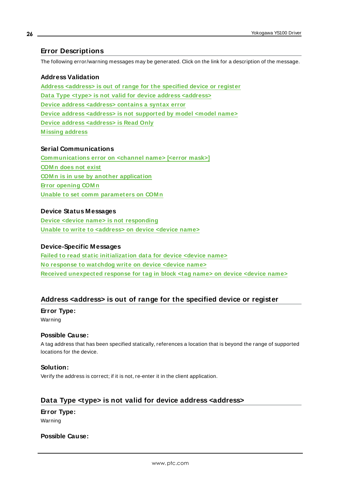#### <span id="page-25-0"></span>**Error Descriptions**

The following error/warning messages may be generated. Click on the link for a description of the message.

#### **Address Validation**

**Address [<address>](#page-25-1) is out of range for the specified device or register Data Type <type> is not valid for device address [<address>](#page-25-2) Device address [<address>](#page-26-0) contains a syntax error Device address <address> is not [supported](#page-26-1) by model <model name> Device address [<address>](#page-26-2) is Read Only [M issing](#page-26-3) address**

#### **Serial Communications**

**[Communications](#page-27-0) error on <channel name> [<error mask>] [COM n](#page-27-1) does not exist COM n is in use by another [application](#page-27-2) Error [opening](#page-28-0) COM n Unable to set comm [parameters](#page-28-1) on COM n**

#### **Device Status Messages**

**Device <device name> is not [responding](#page-28-2) Unable to write to [<address>](#page-29-0) on device <device name>**

#### **Device-Specific Messages**

**Failed to read static [initialization](#page-29-1) data for device <device name> No response to [watchdog](#page-30-0) write on device <device name> Received [unexpected](#page-30-1) response for tag in block <tag name> on device <device name>**

#### <span id="page-25-1"></span>**Address <address> is out of range for the specified device or register**

#### **Error Type:**

Warning

#### **Possible Cause:**

A tag address that has been specified statically, references a location that is beyond the range of supported locations for the device.

#### **Solution:**

Verify the address is correct; if it is not, re-enter it in the client application.

#### <span id="page-25-2"></span>**Data Type <type> is not valid for device address <address>**

## **Error Type:**

Warning

#### **Possible Cause:**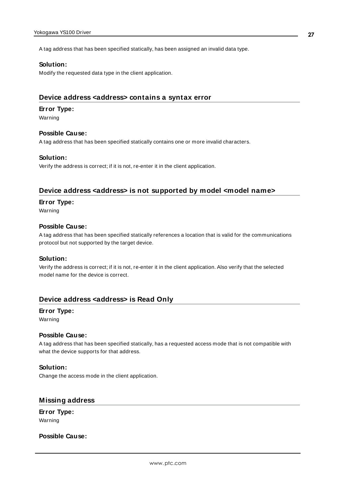A tag address that has been specified statically, has been assigned an invalid data type.

#### **Solution:**

Modify the requested data type in the client application.

#### <span id="page-26-0"></span>**Device address <address> contains a syntax error**

#### **Error Type:**

Warning

#### **Possible Cause:**

A tag address that has been specified statically contains one or more invalid characters.

#### **Solution:**

<span id="page-26-1"></span>Verify the address is correct; if it is not, re-enter it in the client application.

#### **Device address <address> is not supported by model <model name>**

#### **Error Type:**

Warning

#### **Possible Cause:**

A tag address that has been specified statically references a location that is valid for the communications protocol but not supported by the target device.

#### **Solution:**

Verify the address is correct; if it is not, re-enter it in the client application. Also verify that the selected model name for the device is correct.

#### <span id="page-26-2"></span>**Device address <address> is Read Only**

#### **Error Type:**

Warning

#### **Possible Cause:**

A tag address that has been specified statically, has a requested access mode that is not compatible with what the device supports for that address.

#### **Solution:**

Change the access mode in the client application.

#### <span id="page-26-3"></span>**Missing address**

**Error Type:** Warning

#### **Possible Cause:**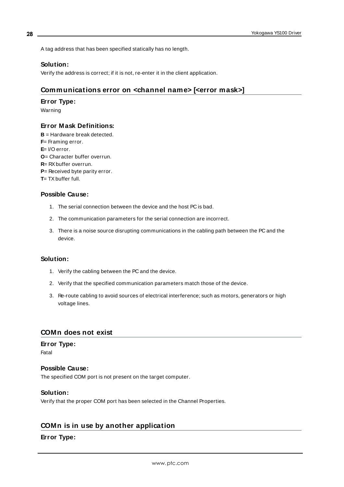A tag address that has been specified statically has no length.

#### **Solution:**

<span id="page-27-0"></span>Verify the address is correct; if it is not, re-enter it in the client application.

#### **Communications error on <channel name> [<error mask>]**

#### **Error Type:**

Warning

#### **Error Mask Definitions:**

<span id="page-27-5"></span><span id="page-27-4"></span><span id="page-27-3"></span>**B** = Hardware break detected. **F**= Framing error. **E**= I/O error. **O**= Character buffer overrun. **R**= RXbuffer overrun. **P**= Received byte parity error. **T**= TX buffer full.

### **Possible Cause:**

- 1. The serial connection between the device and the host PC is bad.
- 2. The communication parameters for the serial connection are incorrect.
- 3. There is a noise source disrupting communications in the cabling path between the PC and the device.

#### **Solution:**

- 1. Verify the cabling between the PC and the device.
- 2. Verify that the specified communication parameters match those of the device.
- 3. Re-route cabling to avoid sources of electrical interference; such as motors, generators or high voltage lines.

#### <span id="page-27-1"></span>**COMn does not exist**

#### **Error Type:**

Fatal

#### **Possible Cause:**

The specified COM port is not present on the target computer.

#### **Solution:**

Verify that the proper COM port has been selected in the Channel Properties.

#### <span id="page-27-2"></span>**COMn is in use by another application**

#### **Error Type:**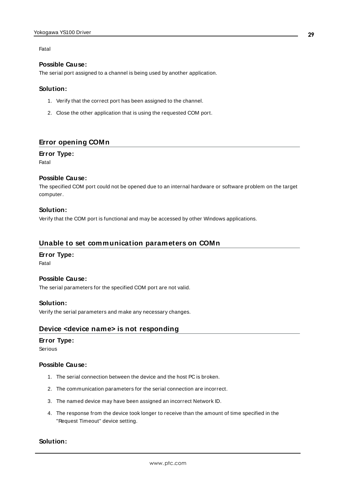#### Fatal

#### **Possible Cause:**

The serial port assigned to a channel is being used by another application.

#### **Solution:**

- 1. Verify that the correct port has been assigned to the channel.
- 2. Close the other application that is using the requested COM port.

#### <span id="page-28-0"></span>**Error opening COMn**

#### **Error Type:**

Fatal

#### **Possible Cause:**

The specified COM port could not be opened due to an internal hardware or software problem on the target computer.

#### **Solution:**

Verify that the COM port is functional and may be accessed by other Windows applications.

#### <span id="page-28-1"></span>**Unable to set communication parameters on COMn**

#### **Error Type:**

Fatal

#### **Possible Cause:**

The serial parameters for the specified COM port are not valid.

#### **Solution:**

<span id="page-28-2"></span>Verify the serial parameters and make any necessary changes.

#### **Device <device name> is not responding**

#### **Error Type:**

#### Serious

#### **Possible Cause:**

- 1. The serial connection between the device and the host PC is broken.
- 2. The communication parameters for the serial connection are incorrect.
- 3. The named device may have been assigned an incorrect Network ID.
- 4. The response from the device took longer to receive than the amount of time specified in the "Request Timeout" device setting.

#### **Solution:**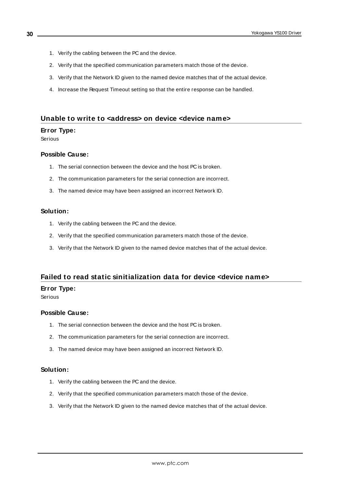- 1. Verify the cabling between the PC and the device.
- 2. Verify that the specified communication parameters match those of the device.
- 3. Verify that the Network ID given to the named device matches that of the actual device.
- 4. Increase the Request Timeout setting so that the entire response can be handled.

#### <span id="page-29-0"></span>**Unable to write to <address> on device <device name>**

#### **Error Type:**

Serious

#### **Possible Cause:**

- 1. The serial connection between the device and the host PC is broken.
- 2. The communication parameters for the serial connection are incorrect.
- 3. The named device may have been assigned an incorrect Network ID.

#### **Solution:**

- 1. Verify the cabling between the PC and the device.
- 2. Verify that the specified communication parameters match those of the device.
- 3. Verify that the Network ID given to the named device matches that of the actual device.

#### <span id="page-29-1"></span>**Failed to read static sinitialization data for device <device name>**

#### **Error Type:**

Serious

#### **Possible Cause:**

- 1. The serial connection between the device and the host PC is broken.
- 2. The communication parameters for the serial connection are incorrect.
- 3. The named device may have been assigned an incorrect Network ID.

#### **Solution:**

- 1. Verify the cabling between the PC and the device.
- 2. Verify that the specified communication parameters match those of the device.
- 3. Verify that the Network ID given to the named device matches that of the actual device.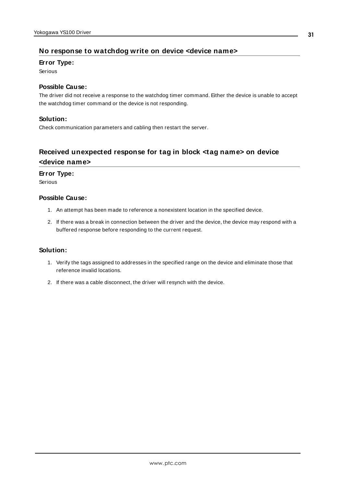### <span id="page-30-0"></span>**No response to watchdog write on device <device name>**

#### **Error Type:**

Serious

#### **Possible Cause:**

The driver did not receive a response to the watchdog timer command. Either the device is unable to accept the watchdog timer command or the device is not responding.

#### **Solution:**

Check communication parameters and cabling then restart the server.

## <span id="page-30-1"></span>**Received unexpected response for tag in block <tag name> on device <device name>**

#### **Error Type:**

Serious

#### **Possible Cause:**

- 1. An attempt has been made to reference a nonexistent location in the specified device.
- 2. If there was a break in connection between the driver and the device, the device may respond with a buffered response before responding to the current request.

#### **Solution:**

- 1. Verify the tags assigned to addresses in the specified range on the device and eliminate those that reference invalid locations.
- 2. If there was a cable disconnect, the driver will resynch with the device.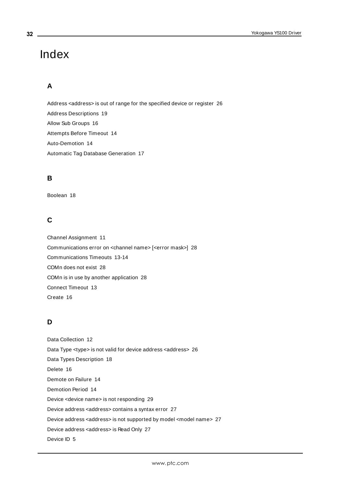## <span id="page-31-0"></span>Index

## **A**

Address <address> is out of range for the specified device or register [26](#page-25-1) Address Descriptions [19](#page-18-0) Allow Sub Groups [16](#page-15-0) Attempts Before Timeout [14](#page-13-1) Auto-Demotion [14](#page-13-0) Automatic Tag Database Generation [17](#page-16-0)

## **B**

Boolean [18](#page-17-1)

## **C**

Channel Assignment [11](#page-10-1) Communications error on <channel name> [<error mask>] [28](#page-27-0) Communications Timeouts [13-14](#page-12-1) COMn does not exist [28](#page-27-1) COMn is in use by another application [28](#page-27-2) Connect Timeout [13](#page-12-2) Create [16](#page-15-1)

## **D**

Data Collection [12](#page-11-2) Data Type <type> is not valid for device address <address> [26](#page-25-2) Data Types Description [18](#page-17-0) Delete [16](#page-15-2) Demote on Failure [14](#page-13-2) Demotion Period [14](#page-13-3) Device <device name> is not responding [29](#page-28-2) Device address <address> contains a syntax error [27](#page-26-0) Device address <address> is not supported by model <model name> [27](#page-26-1) Device address <address> is Read Only [27](#page-26-2) Device ID [5](#page-4-1)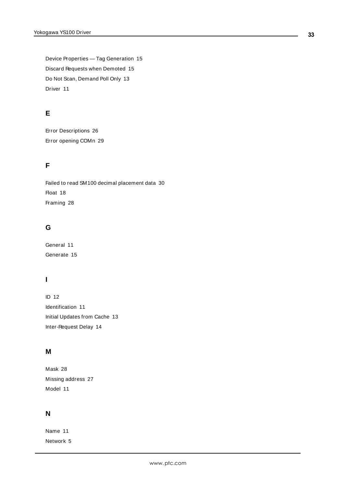Device Properties — Tag Generation [15](#page-14-0) Discard Requests when Demoted [15](#page-14-1) Do Not Scan, Demand Poll Only [13](#page-12-3) Driver [11](#page-10-2)

## **E**

Error Descriptions [26](#page-25-0) Error opening COMn [29](#page-28-0)

## **F**

Failed to read SM100 decimal placement data [30](#page-29-1) Float [18](#page-17-2) Framing [28](#page-27-3)

## **G**

General [11](#page-10-0) Generate [15](#page-14-2)

## **I**

ID [12](#page-11-3) Identification [11](#page-10-0) Initial Updates from Cache [13](#page-12-4) Inter-Request Delay [14](#page-13-4)

## **M**

Mask [28](#page-27-0) Missing address [27](#page-26-3) Model [11](#page-10-3)

## **N**

Name [11](#page-10-4) Network [5](#page-4-2)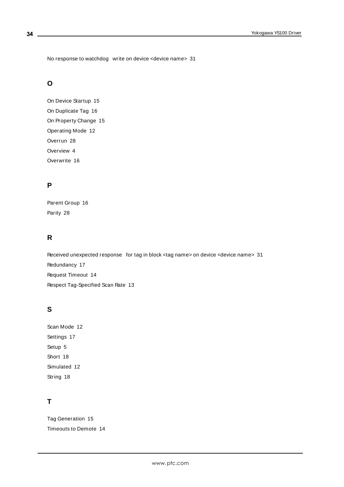No response to watchdog write on device <device name> [31](#page-30-0)

## **O**

On Device Startup [15](#page-14-3) On Duplicate Tag [16](#page-15-3) On Property Change [15](#page-14-4) Operating Mode [12](#page-11-0) Overrun [28](#page-27-4) Overview [4](#page-3-1) Overwrite [16](#page-15-4)

### **P**

Parent Group [16](#page-15-5) Parity [28](#page-27-5)

## **R**

Received unexpected response for tag in block <tag name> on device <device name> [31](#page-30-1) Redundancy [17](#page-16-2) Request Timeout [14](#page-13-5) Respect Tag-Specified Scan Rate [13](#page-12-5)

## **S**

Scan Mode [12](#page-11-4) Settings [17](#page-16-1) Setup [5](#page-4-0) Short [18](#page-17-3) Simulated [12](#page-11-5) String [18](#page-17-4)

## **T**

Tag Generation [15](#page-14-0) Timeouts to Demote [14](#page-13-6)